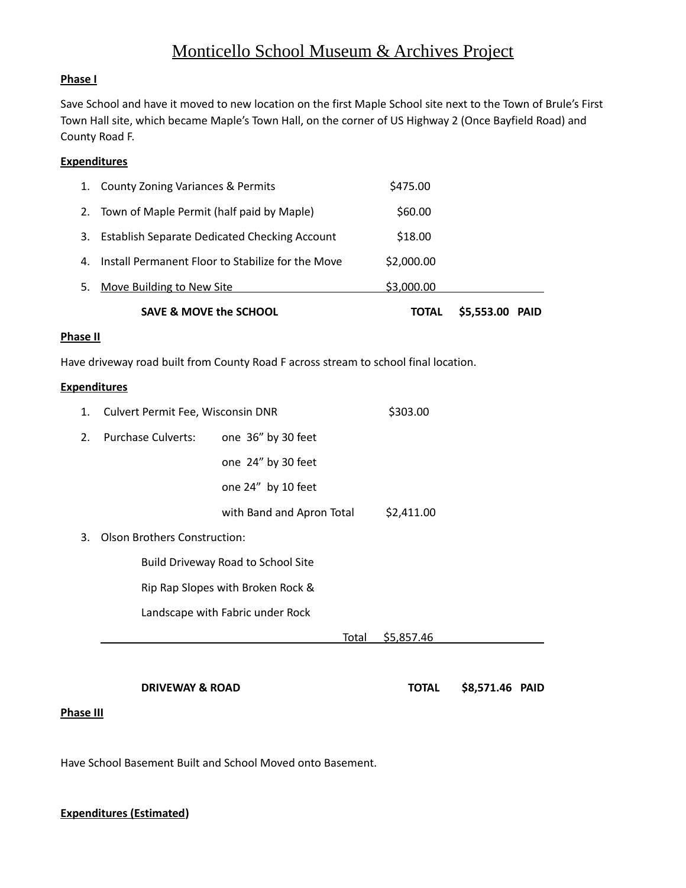# Monticello School Museum & Archives Project

### **Phase I**

Save School and have it moved to new location on the first Maple School site next to the Town of Brule's First Town Hall site, which became Maple's Town Hall, on the corner of US Highway 2 (Once Bayfield Road) and County Road F.

# **Expenditures**

|    | <b>SAVE &amp; MOVE the SCHOOL</b>                    | <b>TOTAL</b> | \$5,553.00<br>PAID |
|----|------------------------------------------------------|--------------|--------------------|
| 5. | Move Building to New Site                            | \$3,000.00   |                    |
| 4. | Install Permanent Floor to Stabilize for the Move    | \$2,000.00   |                    |
| 3. | <b>Establish Separate Dedicated Checking Account</b> | \$18.00      |                    |
|    | 2. Town of Maple Permit (half paid by Maple)         | \$60.00      |                    |
|    | 1. County Zoning Variances & Permits                 | \$475.00     |                    |

#### **Phase II**

Have driveway road built from County Road F across stream to school final location.

#### **Expenditures**

| 1.                                        | Culvert Permit Fee, Wisconsin DNR   |                                  | \$303.00   |  |
|-------------------------------------------|-------------------------------------|----------------------------------|------------|--|
| 2.                                        | <b>Purchase Culverts:</b>           | one 36" by 30 feet               |            |  |
|                                           |                                     | one 24" by 30 feet               |            |  |
|                                           |                                     | one 24" by 10 feet               |            |  |
|                                           |                                     | with Band and Apron Total        | \$2,411.00 |  |
| 3.                                        | <b>Olson Brothers Construction:</b> |                                  |            |  |
| <b>Build Driveway Road to School Site</b> |                                     |                                  |            |  |
|                                           | Rip Rap Slopes with Broken Rock &   |                                  |            |  |
|                                           |                                     | Landscape with Fabric under Rock |            |  |
|                                           |                                     | Total                            | \$5,857.46 |  |
|                                           |                                     |                                  |            |  |

**DRIVEWAY & ROAD TOTAL \$8,571.46 PAID** 

#### **Phase III**

Have School Basement Built and School Moved onto Basement.

## **Expenditures (Estimated)**